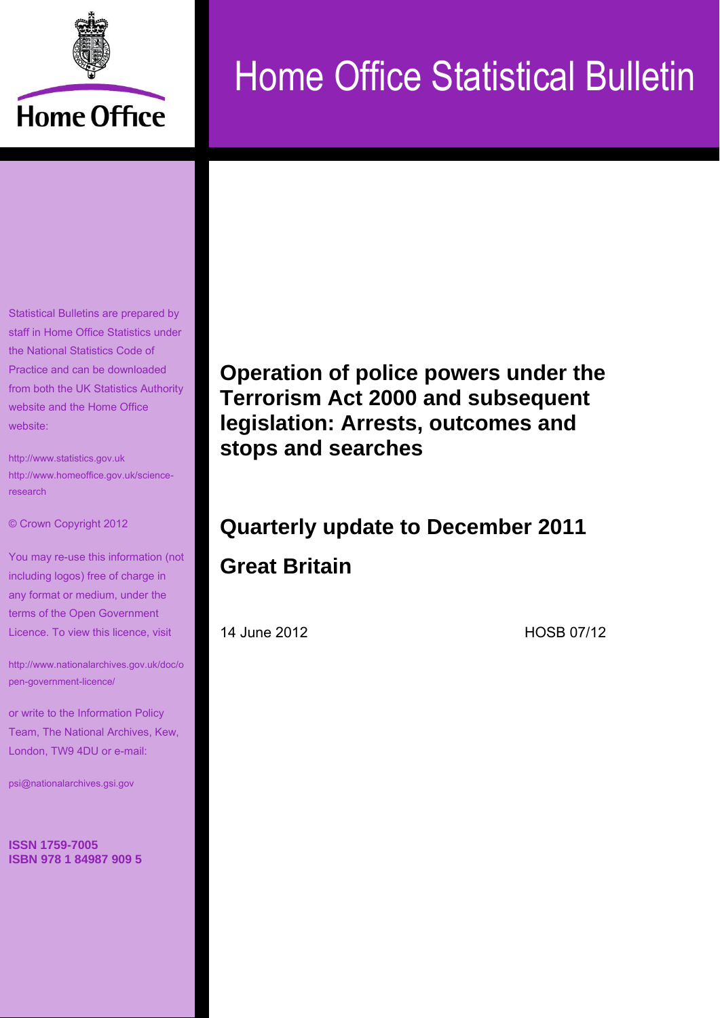

# Home Office Statistical Bulletin

Statistical Bulletins are prepared by staff in Home Office Statistics under the National Statistics Code of Practice and can be downloaded from both the UK Statistics Authority website and the Home Office website:

[http://www.statistics.gov.uk](http://www.statistics.gov.uk/) [http://www.homeoffice.gov.uk/science](http://www.homeoffice.gov.uk/science-research)[research](http://www.homeoffice.gov.uk/science-research)

© Crown Copyright 2012

You may re-use this information (not including logos) free of charge in any format or medium, under the terms of the Open Government Licence. To view this licence, visit

[http://www.nationalarchives.gov.uk/doc/o](http://www.nationalarchives.gov.uk/doc/open-government-licence/) [pen-government-licence/](http://www.nationalarchives.gov.uk/doc/open-government-licence/)

or write to the Information Policy Team, The National Archives, Kew, London, TW9 4DU or e-mail:

[psi@nationalarchives.gsi.gov](mailto:psi@nationalarchives.gsi.gov)

**ISSN 1759-7005 ISBN 978 1 84987 909 5** 

**Operation of police powers under the Terrorism Act 2000 and subsequent legislation: Arrests, outcomes and stops and searches** 

# **Quarterly update to December 2011 Great Britain**

14 June 2012 **HOSB 07/12**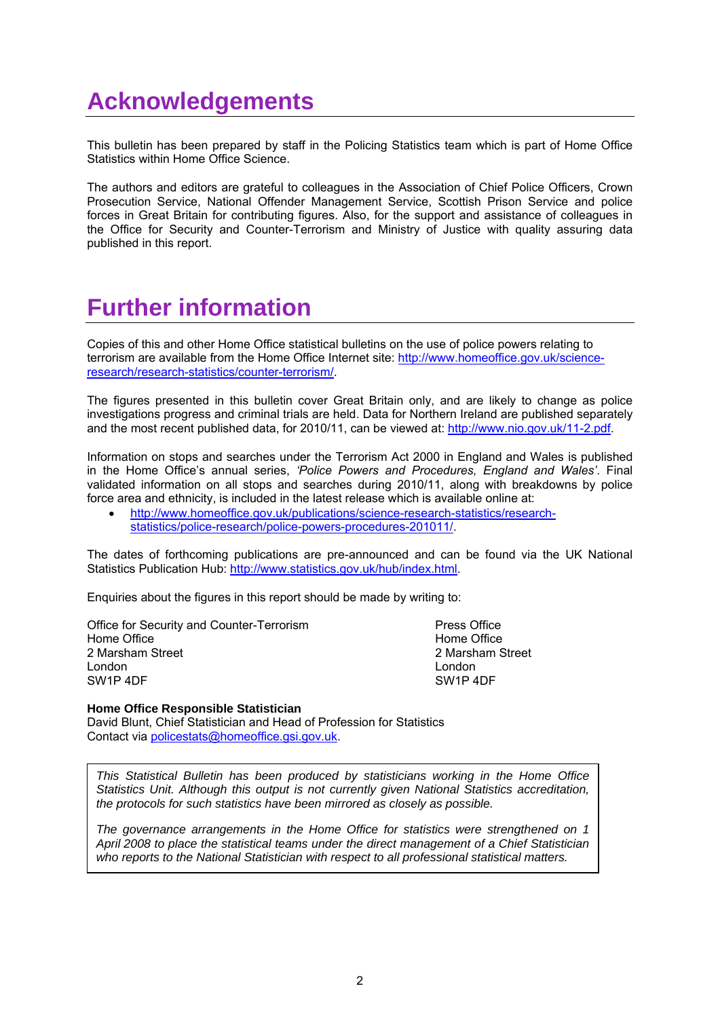## **Acknowledgements**

This bulletin has been prepared by staff in the Policing Statistics team which is part of Home Office Statistics within Home Office Science.

The authors and editors are grateful to colleagues in the Association of Chief Police Officers, Crown Prosecution Service, National Offender Management Service, Scottish Prison Service and police forces in Great Britain for contributing figures. Also, for the support and assistance of colleagues in the Office for Security and Counter-Terrorism and Ministry of Justice with quality assuring data published in this report.

## **Further information**

Copies of this and other Home Office statistical bulletins on the use of police powers relating to terrorism are available from the Home Office Internet site: [http://www.homeoffice.gov.uk/science](http://www.homeoffice.gov.uk/science-research/research-statistics/counter-terrorism/)[research/research-statistics/counter-terrorism/.](http://www.homeoffice.gov.uk/science-research/research-statistics/counter-terrorism/)

The figures presented in this bulletin cover Great Britain only, and are likely to change as police investigations progress and criminal trials are held. Data for Northern Ireland are published separately and the most recent published data, for 2010/11, can be viewed at: [http://www.nio.gov.uk/11-2.pdf.](http://www.nio.gov.uk/11-2.pdf)

Information on stops and searches under the Terrorism Act 2000 in England and Wales is published in the Home Office"s annual series, *'Police Powers and Procedures, England and Wales'*. Final validated information on all stops and searches during 2010/11, along with breakdowns by police force area and ethnicity, is included in the latest release which is available online at:

 [http://www.homeoffice.gov.uk/publications/science-research-statistics/research](http://www.homeoffice.gov.uk/publications/science-research-statistics/research-statistics/police-research/police-powers-procedures-201011/)[statistics/police-research/police-powers-procedures-201011/.](http://www.homeoffice.gov.uk/publications/science-research-statistics/research-statistics/police-research/police-powers-procedures-201011/)

The dates of forthcoming publications are pre-announced and can be found via the UK National Statistics Publication Hub: [http://www.statistics.gov.uk/hub/index.html.](http://www.statistics.gov.uk/hub/index.html)

Enquiries about the figures in this report should be made by writing to:

Office for Security and Counter-Terrorism **Press Office** Home Office **Home Office** Home Office **Home Office Home Office** 2 Marsham Street 2 Marsham Street 2 Marsham Street 2 Marsham Street 2 Marsham Street 2 Marsham Street 2 Marsham Street 2 Marsham Street 2 Marsham Street 2 Marsham Street 2 Marsham Street 2 Marsham Street 2 Marsham Street 2 London London SW1P 4DF SW1P 4DF

#### **Home Office Responsible Statistician**

David Blunt, Chief Statistician and Head of Profession for Statistics Contact via [policestats@homeoffice.gsi.gov.uk.](mailto:policestats@homeoffice.gsi.gov.uk)

*This Statistical Bulletin has been produced by statisticians working in the Home Office Statistics Unit. Although this output is not currently given National Statistics accreditation, the protocols for such statistics have been mirrored as closely as possible.*

*The governance arrangements in the Home Office for statistics were strengthened on 1 April 2008 to place the statistical teams under the direct management of a Chief Statistician who reports to the National Statistician with respect to all professional statistical matters.*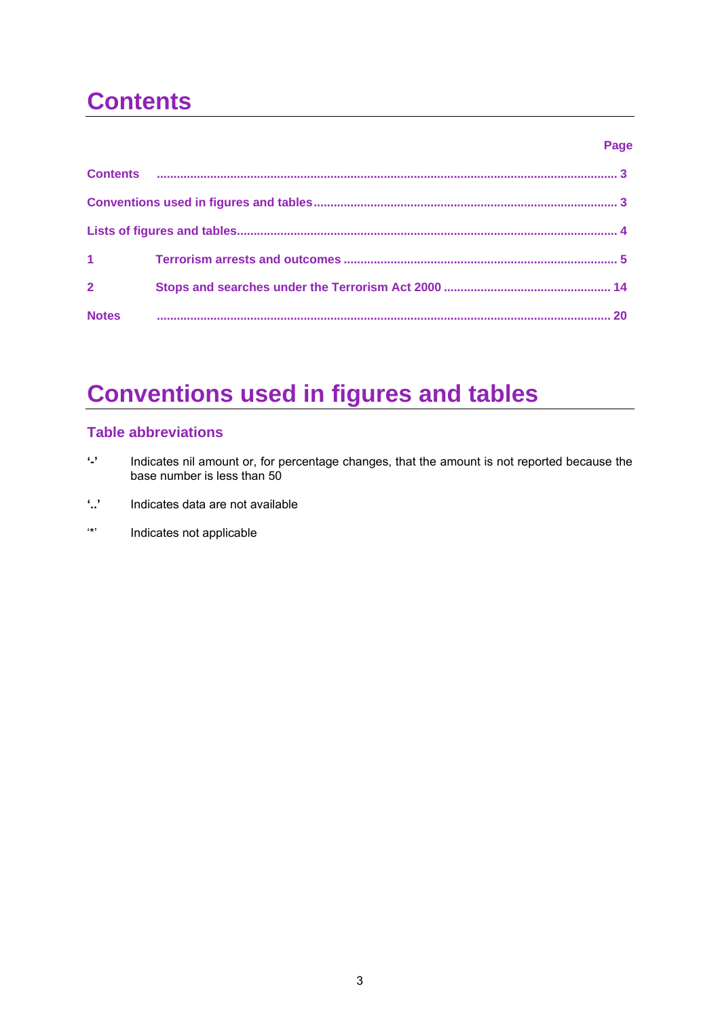# **Contents**

#### **Page**

| $1 - 1$        |  |
|----------------|--|
| $\overline{2}$ |  |
| <b>Notes</b>   |  |

# **Conventions used in figures and tables**

#### **Table abbreviations**

- **'-'** Indicates nil amount or, for percentage changes, that the amount is not reported because the base number is less than 50
- **'..'** Indicates data are not available
- "\*" Indicates not applicable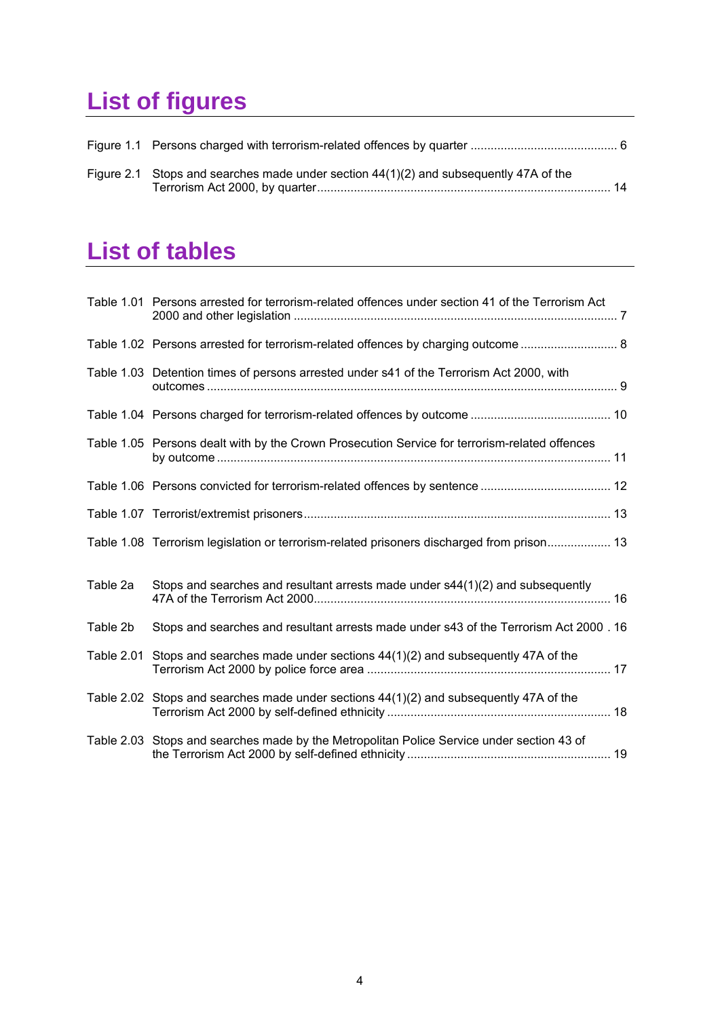# **List of figures**

| Figure 2.1 Stops and searches made under section $44(1)(2)$ and subsequently 47A of the |  |
|-----------------------------------------------------------------------------------------|--|

## **List of tables**

|            | Table 1.01 Persons arrested for terrorism-related offences under section 41 of the Terrorism Act |
|------------|--------------------------------------------------------------------------------------------------|
|            |                                                                                                  |
|            | Table 1.03 Detention times of persons arrested under s41 of the Terrorism Act 2000, with         |
|            |                                                                                                  |
|            | Table 1.05 Persons dealt with by the Crown Prosecution Service for terrorism-related offences    |
|            |                                                                                                  |
|            |                                                                                                  |
|            | Table 1.08 Terrorism legislation or terrorism-related prisoners discharged from prison 13        |
| Table 2a   | Stops and searches and resultant arrests made under $s44(1)(2)$ and subsequently                 |
| Table 2b   | Stops and searches and resultant arrests made under s43 of the Terrorism Act 2000 . 16           |
| Table 2.01 | Stops and searches made under sections $44(1)(2)$ and subsequently 47A of the                    |
|            | Table 2.02 Stops and searches made under sections $44(1)(2)$ and subsequently 47A of the         |
|            | Table 2.03 Stops and searches made by the Metropolitan Police Service under section 43 of        |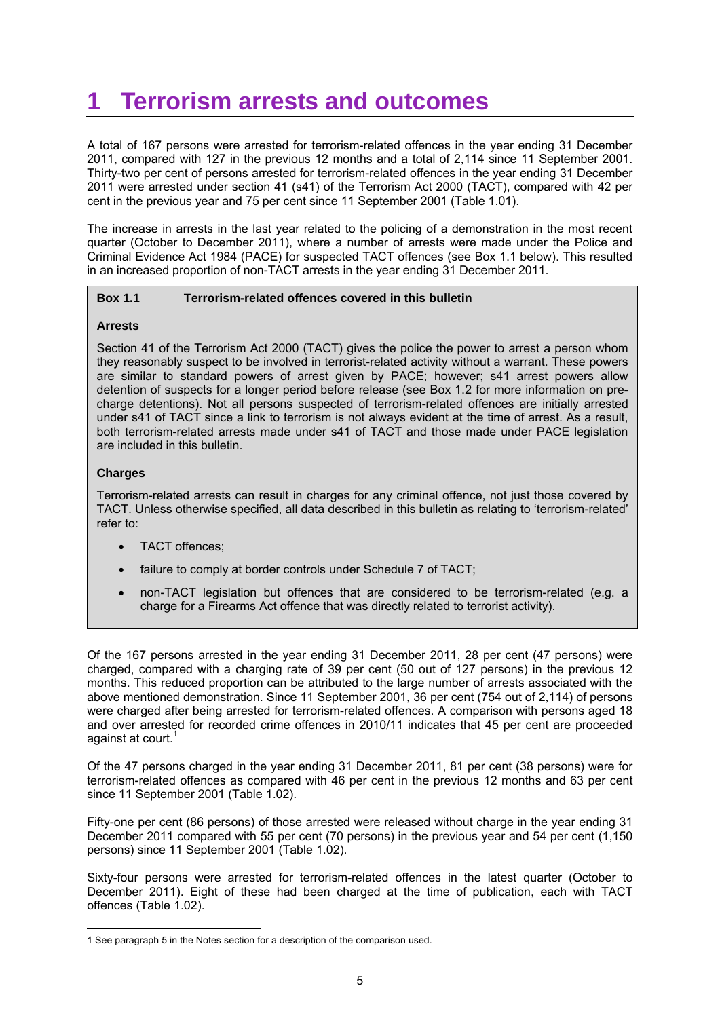### **1 Terrorism arrests and outcomes**

A total of 167 persons were arrested for terrorism-related offences in the year ending 31 December 2011, compared with 127 in the previous 12 months and a total of 2,114 since 11 September 2001. Thirty-two per cent of persons arrested for terrorism-related offences in the year ending 31 December 2011 were arrested under section 41 (s41) of the Terrorism Act 2000 (TACT), compared with 42 per cent in the previous year and 75 per cent since 11 September 2001 (Table 1.01).

The increase in arrests in the last year related to the policing of a demonstration in the most recent quarter (October to December 2011), where a number of arrests were made under the Police and Criminal Evidence Act 1984 (PACE) for suspected TACT offences (see Box 1.1 below). This resulted in an increased proportion of non-TACT arrests in the year ending 31 December 2011.

#### **Box 1.1 Terrorism-related offences covered in this bulletin**

#### **Arrests**

 both terrorism-related arrests made under s41 of TACT and those made under PACE legislation Section 41 of the Terrorism Act 2000 (TACT) gives the police the power to arrest a person whom they reasonably suspect to be involved in terrorist-related activity without a warrant. These powers are similar to standard powers of arrest given by PACE; however; s41 arrest powers allow detention of suspects for a longer period before release (see Box 1.2 for more information on precharge detentions). Not all persons suspected of terrorism-related offences are initially arrested under s41 of TACT since a link to terrorism is not always evident at the time of arrest. As a result, are included in this bulletin.

#### **Charges**

Terrorism-related arrests can result in charges for any criminal offence, not just those covered by TACT. Unless otherwise specified, all data described in this bulletin as relating to "terrorism-related" refer to:

- TACT offences;
- failure to comply at border controls under Schedule 7 of TACT;
- non-TACT legislation but offences that are considered to be terrorism-related (e.g. a charge for a Firearms Act offence that was directly related to terrorist activity).

Of the 167 persons arrested in the year ending 31 December 2011, 28 per cent (47 persons) were charged, compared with a charging rate of 39 per cent (50 out of 127 persons) in the previous 12 months. This reduced proportion can be attributed to the large number of arrests associated with the above mentioned demonstration. Since 11 September 2001, 36 per cent (754 out of 2,114) of persons were charged after being arrested for terrorism-related offences. A comparison with persons aged 18 and over arrested for recorded crime offences in 2010/11 indicates that 45 per cent are proceeded against at court.<sup>1</sup>

Of the 47 persons charged in the year ending 31 December 2011, 81 per cent (38 persons) were for terrorism-related offences as compared with 46 per cent in the previous 12 months and 63 per cent since 11 September 2001 (Table 1.02).

Fifty-one per cent (86 persons) of those arrested were released without charge in the year ending 31 December 2011 compared with 55 per cent (70 persons) in the previous year and 54 per cent (1,150 persons) since 11 September 2001 (Table 1.02).

Sixty-four persons were arrested for terrorism-related offences in the latest quarter (October to December 2011). Eight of these had been charged at the time of publication, each with TACT offences (Table 1.02).

<sup>&</sup>lt;u>.</u> 1 See paragraph 5 in the Notes section for a description of the comparison used.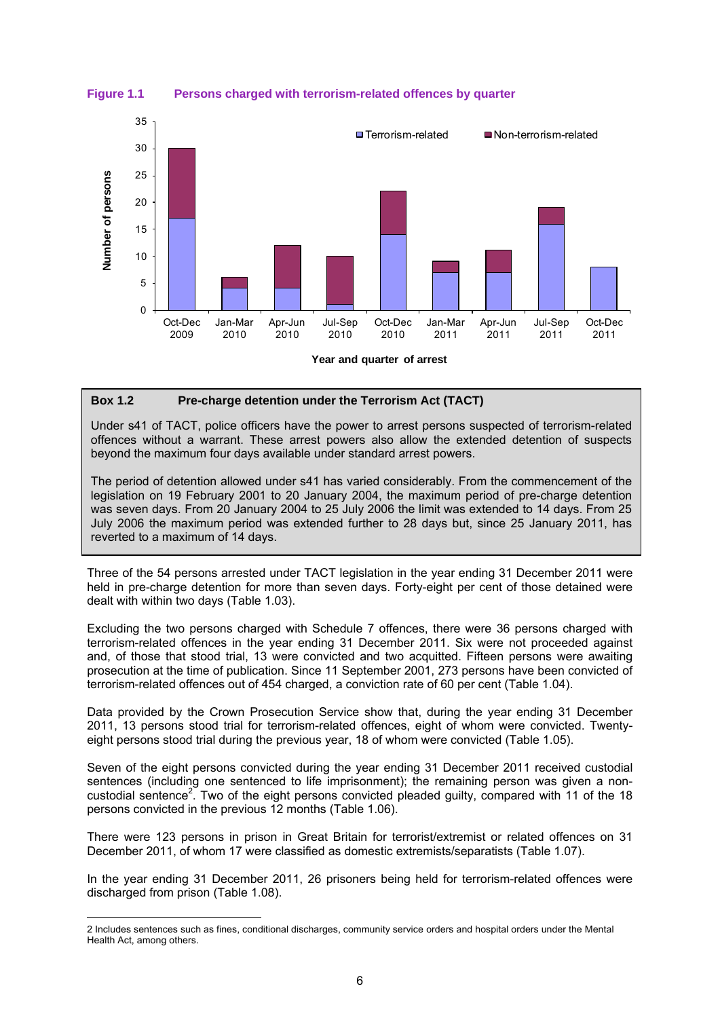**Figure 1.1 Persons charged with terrorism-related offences by quarter** 



**Year and quarter of arrest**

#### **Box 1.2 Pre-charge detention under the Terrorism Act (TACT)**

Under s41 of TACT, police officers have the power to arrest persons suspected of terrorism-related offences without a warrant. These arrest powers also allow the extended detention of suspects beyond the maximum four days available under standard arrest powers.

The period of detention allowed under s41 has varied considerably. From the commencement of the legislation on 19 February 2001 to 20 January 2004, the maximum period of pre-charge detention was seven days. From 20 January 2004 to 25 July 2006 the limit was extended to 14 days. From 25 July 2006 the maximum period was extended further to 28 days but, since 25 January 2011, has reverted to a maximum of 14 days.

Three of the 54 persons arrested under TACT legislation in the year ending 31 December 2011 were held in pre-charge detention for more than seven days. Forty-eight per cent of those detained were dealt with within two days (Table 1.03).

Excluding the two persons charged with Schedule 7 offences, there were 36 persons charged with terrorism-related offences in the year ending 31 December 2011. Six were not proceeded against and, of those that stood trial, 13 were convicted and two acquitted. Fifteen persons were awaiting prosecution at the time of publication. Since 11 September 2001, 273 persons have been convicted of terrorism-related offences out of 454 charged, a conviction rate of 60 per cent (Table 1.04).

Data provided by the Crown Prosecution Service show that, during the year ending 31 December 2011, 13 persons stood trial for terrorism-related offences, eight of whom were convicted. Twentyeight persons stood trial during the previous year, 18 of whom were convicted (Table 1.05).

Seven of the eight persons convicted during the year ending 31 December 2011 received custodial sentences (including one sentenced to life imprisonment); the remaining person was given a noncustodial sentence<sup>2</sup>. Two of the eight persons convicted pleaded guilty, compared with 11 of the 18 persons convicted in the previous 12 months (Table 1.06).

There were 123 persons in prison in Great Britain for terrorist/extremist or related offences on 31 December 2011, of whom 17 were classified as domestic extremists/separatists (Table 1.07).

In the year ending 31 December 2011, 26 prisoners being held for terrorism-related offences were discharged from prison (Table 1.08).

<u>.</u>

<sup>2</sup> Includes sentences such as fines, conditional discharges, community service orders and hospital orders under the Mental Health Act, among others.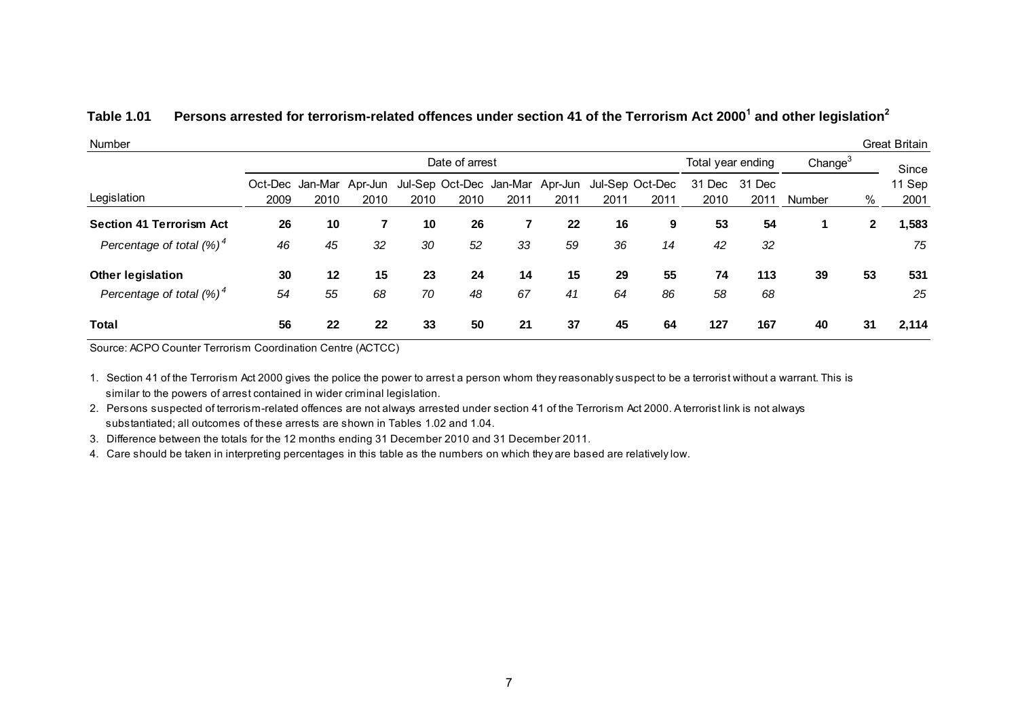#### **Table 1.01 Persons arrested for terrorism-related offences under section 41 of the Terrorism Act 2000<sup>1</sup> and other legislation<sup>2</sup>**

| Number                          |      |      |                                 |      |                                         |      |      |      |                         |                   |                       |            |              | Great Britain  |  |
|---------------------------------|------|------|---------------------------------|------|-----------------------------------------|------|------|------|-------------------------|-------------------|-----------------------|------------|--------------|----------------|--|
|                                 |      |      |                                 |      | Date of arrest                          |      |      |      |                         | Total year ending |                       | Change $3$ |              | Since          |  |
| Legislation                     | 2009 | 2010 | Oct-Dec Jan-Mar Apr-Jun<br>2010 | 2010 | Jul-Sep Oct-Dec Jan-Mar Apr-Jun<br>2010 | 2011 | 2011 | 2011 | Jul-Sep Oct-Dec<br>2011 | 2010              | 31 Dec 31 Dec<br>2011 | Number     | %            | 11 Sep<br>2001 |  |
| <b>Section 41 Terrorism Act</b> | 26   | 10   | 7                               | 10   | 26                                      |      | 22   | 16   | 9                       | 53                | 54                    |            | $\mathbf{2}$ | 1,583          |  |
| Percentage of total $(%)^4$     | 46   | 45   | 32                              | 30   | 52                                      | 33   | 59   | 36   | 14                      | 42                | 32                    |            |              | 75             |  |
| <b>Other legislation</b>        | 30   | 12   | 15                              | 23   | 24                                      | 14   | 15   | 29   | 55                      | 74                | 113                   | 39         | 53           | 531            |  |
| Percentage of total $(%)^4$     | 54   | 55   | 68                              | 70   | 48                                      | 67   | 41   | 64   | 86                      | 58                | 68                    |            |              | 25             |  |
| <b>Total</b>                    | 56   | 22   | 22                              | 33   | 50                                      | 21   | 37   | 45   | 64                      | 127               | 167                   | 40         | 31           | 2,114          |  |

Source: ACPO Counter Terrorism Coordination Centre (ACTCC)

 similar to the powers of arrest contained in wider criminal legislation. 1. Section 41 of the Terrorism Act 2000 gives the police the power to arrest a person whom they reasonably suspect to be a terrorist without a warrant. This is

 substantiated; all outcomes of these arrests are shown in Tables 1.02 and 1.04. 2. Persons suspected of terrorism-related offences are not always arrested under section 41 of the Terrorism Act 2000. A terrorist link is not always

3. Difference between the totals for the 12 months ending 31 December 2010 and 31 December 2011.

4. Care should be taken in interpreting percentages in this table as the numbers on which they are based are relatively low.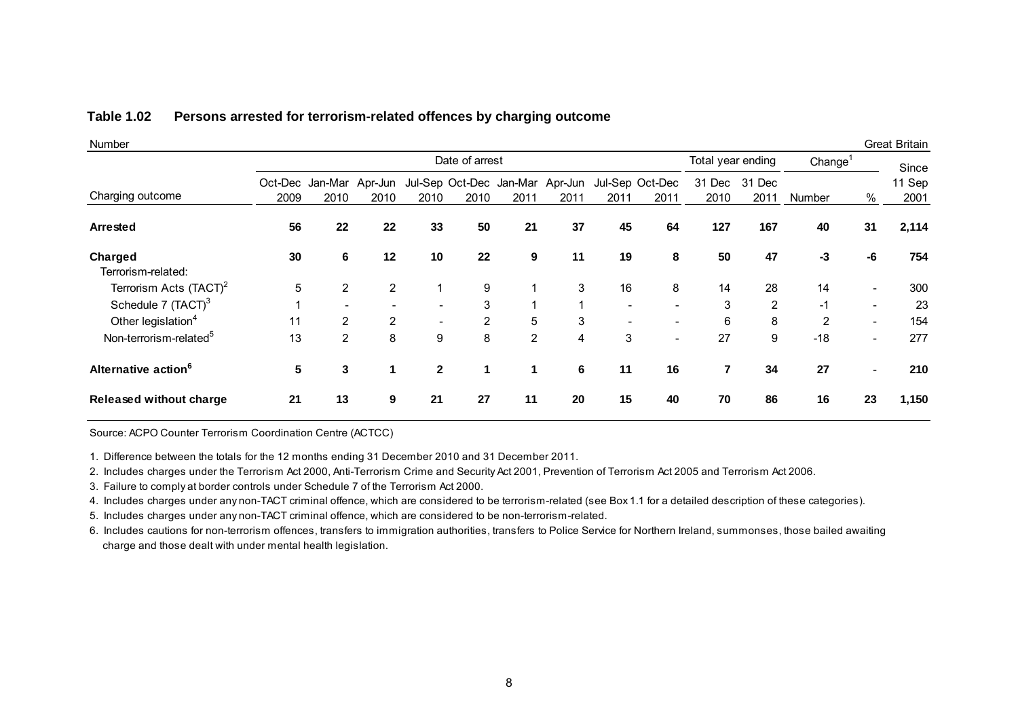| <b>Number</b>                      |                 |                |                          |                          |                |                                 |                |                          |                          |                         |                |                     |                          | <b>Great Britain</b> |
|------------------------------------|-----------------|----------------|--------------------------|--------------------------|----------------|---------------------------------|----------------|--------------------------|--------------------------|-------------------------|----------------|---------------------|--------------------------|----------------------|
|                                    |                 |                |                          |                          | Date of arrest |                                 |                |                          |                          | Total year ending       |                | Change <sup>1</sup> |                          | Since                |
|                                    |                 |                | Oct-Dec Jan-Mar Apr-Jun  |                          |                | Jul-Sep Oct-Dec Jan-Mar Apr-Jun |                |                          | Jul-Sep Oct-Dec          | 31 Dec                  | 31 Dec         |                     |                          | 11 Sep               |
| Charging outcome                   | 2009            | 2010           | 2010                     | 2010                     | 2010           | 2011                            | 2011           | 2011                     | 2011                     | 2010                    | 2011           | Number              | %                        | 2001                 |
| Arrested                           | 56              | 22             | 22                       | 33                       | 50             | 21                              | 37             | 45                       | 64                       | 127                     | 167            | 40                  | 31                       | 2,114                |
| Charged<br>Terrorism-related:      | 30              | 6              | 12                       | 10                       | 22             | 9                               | 11             | 19                       | 8                        | 50                      | 47             | -3                  | -6                       | 754                  |
| Terrorism Acts (TACT) <sup>2</sup> | 5               | $\overline{2}$ | $\overline{2}$           |                          | 9              | 1                               | 3              | 16                       | 8                        | 14                      | 28             | 14                  |                          | 300                  |
| Schedule 7 (TACT) <sup>3</sup>     |                 |                | $\overline{\phantom{0}}$ | $\overline{\phantom{0}}$ | 3              |                                 |                | $\overline{\phantom{0}}$ | $\overline{\phantom{0}}$ | 3                       | $\overline{2}$ | $-1$                | $\overline{\phantom{0}}$ | 23                   |
| Other legislation <sup>4</sup>     | 11              | $\overline{2}$ | 2                        |                          | 2              | 5                               | 3              |                          |                          | 6                       | 8              | 2                   | $\overline{\phantom{a}}$ | 154                  |
| Non-terrorism-related <sup>5</sup> | 13              | $\overline{2}$ | 8                        | 9                        | 8              | $\overline{2}$                  | $\overline{4}$ | 3                        | $\overline{\phantom{0}}$ | 27                      | 9              | $-18$               | $\overline{\phantom{a}}$ | 277                  |
| Alternative action <sup>6</sup>    | $5\phantom{.0}$ | 3              |                          | $\mathbf{2}$             | 1              | 1                               | 6              | 11                       | 16                       | $\overline{\mathbf{r}}$ | 34             | 27                  |                          | 210                  |
| <b>Released without charge</b>     | 21              | 13             | 9                        | 21                       | 27             | 11                              | 20             | 15                       | 40                       | 70                      | 86             | 16                  | 23                       | 1,150                |

#### **Table 1.02 Persons arrested for terrorism-related offences by charging outcome**

Source: ACPO Counter Terrorism Coordination Centre (ACTCC)

1. Difference between the totals for the 12 months ending 31 December 2010 and 31 December 2011.

2. Includes charges under the Terrorism Act 2000, Anti-Terrorism Crime and Security Act 2001, Prevention of Terrorism Act 2005 and Terrorism Act 2006.

3. Failure to comply at border controls under Schedule 7 of the Terrorism Act 2000.

4. Includes charges under any non-TACT criminal offence, which are considered to be terrorism-related (see Box 1.1 for a detailed description of these categories).

5. Includes charges under any non-TACT criminal offence, which are considered to be non-terrorism-related.

 charge and those dealt with under mental health legislation. 6. Includes cautions for non-terrorism offences, transfers to immigration authorities, transfers to Police Service for Northern Ireland, summonses, those bailed awaiting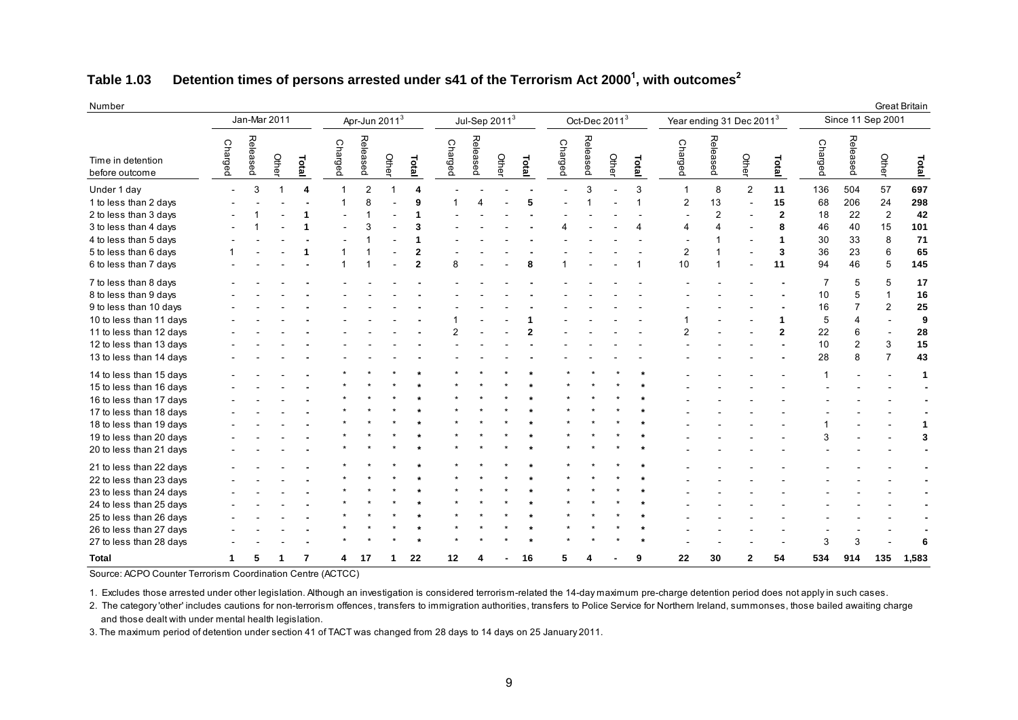#### **Table 1.03 Detention times of persons arrested under s41 of the Terrorism Act 2000<sup>1</sup> , with outcomes<sup>2</sup>**

| Number                                                                                                                                                                                    |                          | Jan-Mar 2011 |       |       |                | Apr-Jun 2011 <sup>3</sup> |       |                                                 |                | Jul-Sep $2011^3$ |       |       |                |          | Oct-Dec 2011 <sup>3</sup> |        | Year ending 31 Dec 2011 <sup>3</sup>                                     |                           |       |                                            |                                         |                                                | Since 11 Sep 2001                               | Great Britain                              |
|-------------------------------------------------------------------------------------------------------------------------------------------------------------------------------------------|--------------------------|--------------|-------|-------|----------------|---------------------------|-------|-------------------------------------------------|----------------|------------------|-------|-------|----------------|----------|---------------------------|--------|--------------------------------------------------------------------------|---------------------------|-------|--------------------------------------------|-----------------------------------------|------------------------------------------------|-------------------------------------------------|--------------------------------------------|
| Time in detention<br>before outcome                                                                                                                                                       | Charged                  | Released     | Other | Total | <b>Charged</b> | Released                  | Other | Total                                           | <b>Charged</b> | Released         | Othel | Total | <b>Charged</b> | Released | Other                     | Total  | Charged                                                                  | Released                  | Othel | Total                                      | <b>Charged</b>                          | Released                                       | Other                                           | Total                                      |
| Under 1 day<br>1 to less than 2 days<br>2 to less than 3 days<br>3 to less than 4 days<br>4 to less than 5 days<br>5 to less than 6 days<br>6 to less than 7 days                         | $\overline{\phantom{a}}$ | 3            |       | 4     |                | $\overline{2}$<br>8<br>3  |       | 4<br>9<br>3<br>$\overline{2}$<br>$\overline{2}$ | 8              |                  |       |       |                | 3        |                           | 3<br>1 | $\mathbf{1}$<br>$\overline{2}$<br>$\overline{4}$<br>$\overline{2}$<br>10 | 8<br>13<br>$\overline{2}$ | 2     | 11<br>15<br>$\overline{2}$<br>8<br>3<br>11 | 136<br>68<br>18<br>46<br>30<br>36<br>94 | 504<br>206<br>22<br>40<br>33<br>23<br>46       | 57<br>24<br>$\overline{2}$<br>15<br>8<br>6<br>5 | 697<br>298<br>42<br>101<br>71<br>65<br>145 |
| 7 to less than 8 days<br>8 to less than 9 days<br>9 to less than 10 days<br>10 to less than 11 days<br>11 to less than 12 days<br>12 to less than 13 days<br>13 to less than 14 days      |                          |              |       |       |                |                           |       |                                                 |                |                  |       |       |                |          |                           |        |                                                                          |                           |       | $\mathbf{2}$                               | 10<br>16<br>5<br>22<br>10<br>28         | 5<br>5<br>$\Delta$<br>6<br>$\overline{2}$<br>8 | 5<br>1<br>$\overline{2}$<br>3<br>$\overline{7}$ | 17<br>16<br>25<br>9<br>28<br>15<br>43      |
| 14 to less than 15 days<br>15 to less than 16 days<br>16 to less than 17 days<br>17 to less than 18 days<br>18 to less than 19 days<br>19 to less than 20 days<br>20 to less than 21 days |                          |              |       |       |                |                           |       |                                                 |                |                  |       |       |                |          |                           |        |                                                                          |                           |       |                                            | 3                                       |                                                |                                                 | -1                                         |
| 21 to less than 22 days<br>22 to less than 23 days<br>23 to less than 24 days<br>24 to less than 25 days<br>25 to less than 26 days<br>26 to less than 27 days<br>27 to less than 28 days |                          |              |       |       |                |                           |       |                                                 |                |                  |       |       |                |          |                           |        |                                                                          |                           |       |                                            |                                         |                                                |                                                 |                                            |
| <b>Total</b>                                                                                                                                                                              | 1                        |              |       | 7     |                | 17                        |       | 22                                              | 12             |                  |       | 16    |                |          |                           | g      | 22                                                                       | 30                        | 2     | 54                                         | 534                                     | 914                                            | 135                                             | 1,583                                      |

Source: ACPO Counter Terrorism Coordination Centre (ACTCC)

1. Excludes those arrested under other legislation. Although an investigation is considered terrorism-related the 14-day maximum pre-charge detention period does not apply in such cases.

2. The category 'other' includes cautions for non-terrorism offences, transfers to immigration authorities, transfers to Police Service for Northern Ireland, summonses, those bailed awaiting charge and those dealt with under mental health legislation.

3. The maximum period of detention under section 41 of TACT was changed from 28 days to 14 days on 25 January 2011.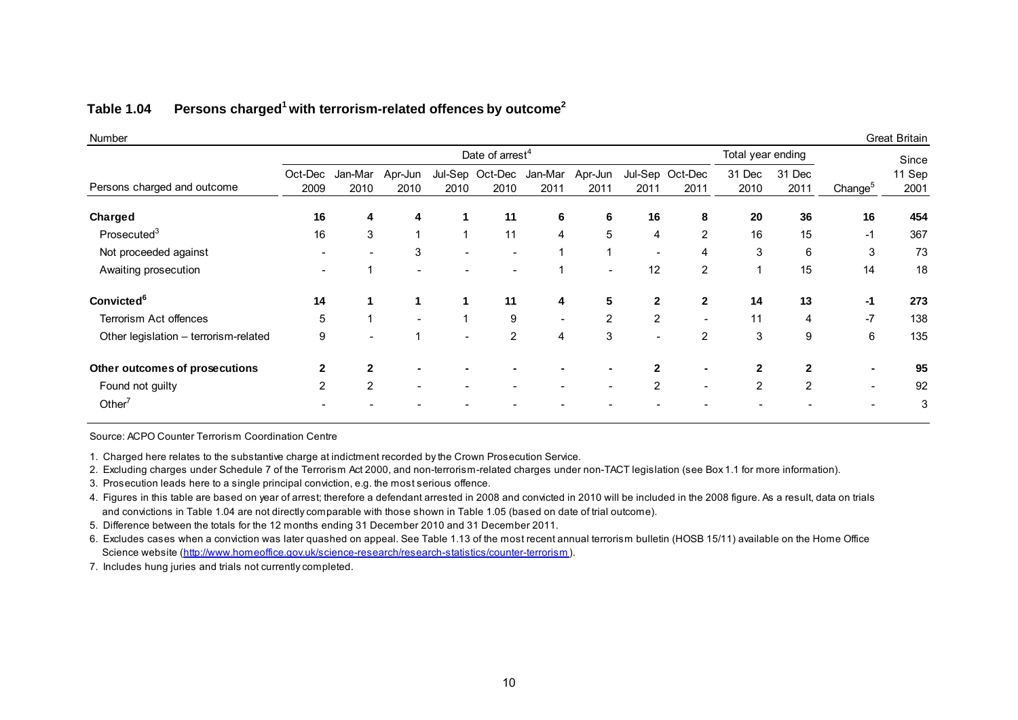#### **Table 1.04 Persons charged<sup>1</sup>with terrorism-related offences by outcome<sup>2</sup>**

| Number                                |                 |                 |                          |                          |                                 |                          |                          |                          |                         |                   |                |                     | <b>Great Britain</b> |
|---------------------------------------|-----------------|-----------------|--------------------------|--------------------------|---------------------------------|--------------------------|--------------------------|--------------------------|-------------------------|-------------------|----------------|---------------------|----------------------|
|                                       |                 |                 |                          |                          | Date of arrest <sup>4</sup>     |                          |                          |                          |                         | Total year ending |                |                     | Since                |
| Persons charged and outcome           | Oct-Dec<br>2009 | Jan-Mar<br>2010 | Apr-Jun<br>2010          | 2010                     | Jul-Sep Oct-Dec Jan-Mar<br>2010 | 2011                     | Apr-Jun<br>2011          | 2011                     | Jul-Sep Oct-Dec<br>2011 | 31 Dec<br>2010    | 31 Dec<br>2011 | Change <sup>5</sup> | 11 Sep<br>2001       |
| Charged                               | 16              | 4               | 4                        |                          | 11                              | 6                        | 6                        | 16                       | 8                       | 20                | 36             | 16                  | 454                  |
| Prosectuted <sup>3</sup>              | 16              | 3               | $\mathbf{1}$             | $\overline{ }$           | 11                              | 4                        | $\overline{5}$           | 4                        | $\overline{2}$          | 16                | 15             | $-1$                | 367                  |
| Not proceeded against                 |                 |                 | 3                        |                          |                                 |                          |                          | $\overline{\phantom{a}}$ | 4                       | 3                 | 6              | 3                   | 73                   |
| Awaiting prosecution                  |                 |                 | $\overline{\phantom{0}}$ |                          |                                 |                          | $\overline{\phantom{a}}$ | 12                       | 2                       | 1                 | 15             | 14                  | 18                   |
| <b>Convicted<sup>6</sup></b>          | 14              |                 |                          |                          | 11                              | 4                        | 5                        | $\mathbf{2}$             | $\mathbf{2}$            | 14                | 13             | $-1$                | 273                  |
| Terrorism Act offences                | 5               | 1               | $\overline{\phantom{a}}$ |                          | 9                               | $\overline{\phantom{a}}$ | $\overline{2}$           | 2                        |                         | 11                | 4              | $-7$                | 138                  |
| Other legislation - terrorism-related | 9               |                 |                          | $\overline{\phantom{0}}$ | $\overline{2}$                  | 4                        | 3                        |                          | 2                       | 3                 | 9              | 6                   | 135                  |
| Other outcomes of prosecutions        | $\mathbf{2}$    | 2               | $\blacksquare$           |                          |                                 |                          |                          | $\mathbf{2}$             |                         | 2                 | $\mathbf{2}$   |                     | 95                   |
| Found not guilty                      | $\overline{2}$  | 2               | $\overline{\phantom{a}}$ |                          |                                 |                          | $\overline{\phantom{a}}$ | $\overline{2}$           |                         | $\overline{2}$    | 2              |                     | 92                   |
| Other $7$                             |                 |                 |                          |                          |                                 |                          |                          |                          |                         |                   |                |                     | 3                    |

Source: ACPO Counter Terrorism Coordination Centre

1. Charged here relates to the substantive charge at indictment recorded by the Crown Prosecution Service.

2. Excluding charges under Schedule 7 of the Terrorism Act 2000, and non-terrorism-related charges under non-TACT legislation (see Box 1.1 for more information).

3. Prosecution leads here to a single principal conviction, e.g. the most serious offence.

 and convictions in Table 1.04 are not directly comparable with those shown in Table 1.05 (based on date of trial outcome). 4. Figures in this table are based on year of arrest; therefore a defendant arrested in 2008 and convicted in 2010 will be included in the 2008 figure. As a result, data on trials

5. Difference between the totals for the 12 months ending 31 December 2010 and 31 December 2011.

 Science website (http://www.homeoffice.gov.uk/science-research/research-statistics/counter-terrorism ). 6. Excludes cases when a conviction was later quashed on appeal. See Table 1.13 of the most recent annual terrorism bulletin (HOSB 15/11) available on the Home Office

7. Includes hung juries and trials not currently completed.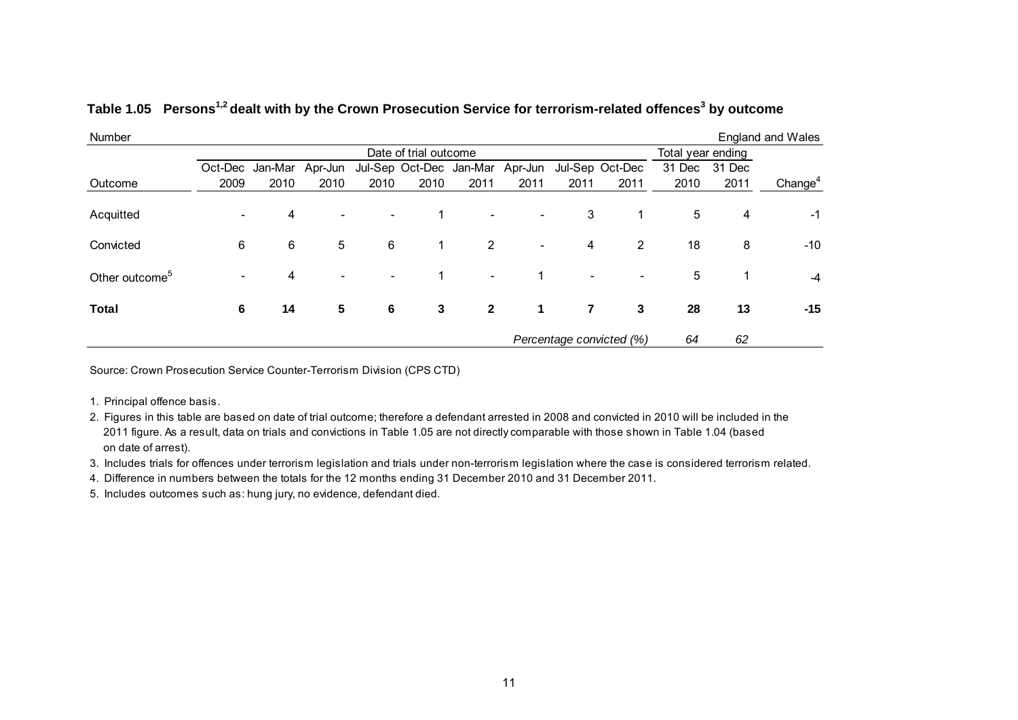| Number                     |                          |                         |                          |                          |                       |                                 |                          |                |                          |                   |        | <b>England and Wales</b> |
|----------------------------|--------------------------|-------------------------|--------------------------|--------------------------|-----------------------|---------------------------------|--------------------------|----------------|--------------------------|-------------------|--------|--------------------------|
|                            |                          |                         |                          |                          | Date of trial outcome |                                 |                          |                |                          | Total year ending |        |                          |
|                            |                          | Oct-Dec Jan-Mar Apr-Jun |                          |                          |                       | Jul-Sep Oct-Dec Jan-Mar Apr-Jun |                          |                | Jul-Sep Oct-Dec          | 31 Dec            | 31 Dec |                          |
| Outcome                    | 2009                     | 2010                    | 2010                     | 2010                     | 2010                  | 2011                            | 2011                     | 2011           | 2011                     | 2010              | 2011   | Change <sup>4</sup>      |
| Acquitted                  | $\overline{\phantom{0}}$ | 4                       | $\overline{\phantom{0}}$ | $\overline{\phantom{0}}$ |                       | $\overline{\phantom{0}}$        | -                        | 3              | 1                        | 5                 | 4      | $-1$                     |
| Convicted                  | 6                        | 6                       | 5                        | 6                        | 1                     | $\overline{2}$                  | $\overline{\phantom{a}}$ | 4              | $\overline{2}$           | 18                | 8      | $-10$                    |
| Other outcome <sup>5</sup> | $\overline{\phantom{0}}$ | 4                       |                          | $\overline{\phantom{0}}$ |                       | $\overline{\phantom{a}}$        |                          | $\blacksquare$ |                          | 5                 |        | $-4$                     |
| <b>Total</b>               | 6                        | 14                      | 5                        | 6                        | 3                     | $\mathbf{2}$                    | 1                        | $\overline{7}$ | 3                        | 28                | 13     | $-15$                    |
|                            |                          |                         |                          |                          |                       |                                 |                          |                | Percentage convicted (%) | 64                | 62     |                          |

#### **Table 1.05 Persons1,2 dealt with by the Crown Prosecution Service for terrorism-related offences<sup>3</sup> by outcome**

Source: Crown Prosecution Service Counter-Terrorism Division (CPS CTD)

1. Principal offence basis.

 2011 figure. As a result, data on trials and convictions in Table 1.05 are not directly comparable with those shown in Table 1.04 (based on date of arrest). 2. Figures in this table are based on date of trial outcome; therefore a defendant arrested in 2008 and convicted in 2010 will be included in the

3. Includes trials for offences under terrorism legislation and trials under non-terrorism legislation where the case is considered terrorism related.

4. Difference in numbers between the totals for the 12 months ending 31 December 2010 and 31 December 2011.

5. Includes outcomes such as: hung jury, no evidence, defendant died.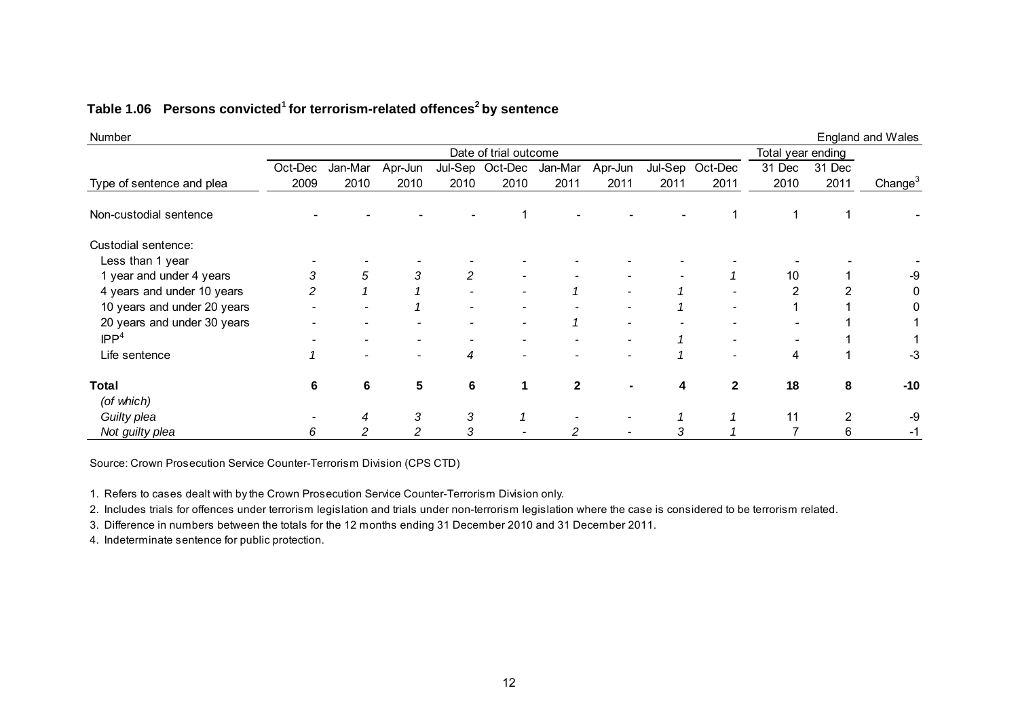| Number                      |         |         |                          |      |                       |              |                          |      |                 |                   |        | <b>England and Wales</b> |
|-----------------------------|---------|---------|--------------------------|------|-----------------------|--------------|--------------------------|------|-----------------|-------------------|--------|--------------------------|
|                             |         |         |                          |      | Date of trial outcome |              |                          |      |                 | Total year ending |        |                          |
|                             | Oct-Dec | Jan-Mar | Apr-Jun                  |      | Jul-Sep Oct-Dec       | Jan-Mar      | Apr-Jun                  |      | Jul-Sep Oct-Dec | 31 Dec            | 31 Dec |                          |
| Type of sentence and plea   | 2009    | 2010    | 2010                     | 2010 | 2010                  | 2011         | 2011                     | 2011 | 2011            | 2010              | 2011   | Change $3$               |
| Non-custodial sentence      |         |         |                          |      |                       |              |                          |      |                 |                   |        |                          |
| Custodial sentence:         |         |         |                          |      |                       |              |                          |      |                 |                   |        |                          |
| Less than 1 year            |         |         |                          |      |                       |              |                          |      |                 |                   |        |                          |
| 1 year and under 4 years    | 3       | 5       | 3                        |      |                       |              |                          |      |                 | 10                |        | -9                       |
| 4 years and under 10 years  | 2       |         |                          |      |                       |              |                          |      |                 |                   |        |                          |
| 10 years and under 20 years |         |         |                          |      |                       |              |                          |      |                 |                   |        |                          |
| 20 years and under 30 years |         |         |                          |      |                       |              | $\overline{\phantom{a}}$ |      |                 |                   |        |                          |
| IPP <sup>4</sup>            |         |         |                          |      |                       |              | $\overline{\phantom{a}}$ |      |                 |                   |        |                          |
| Life sentence               |         |         | $\overline{\phantom{a}}$ | 4    |                       |              | $\overline{\phantom{a}}$ |      | -               | 4                 |        | -3                       |
| <b>Total</b>                | 6       | 6       | 5                        | 6    |                       | $\mathbf{2}$ |                          |      | $\mathbf{2}$    | 18                | 8      | $-10$                    |
| (of which)                  |         |         |                          |      |                       |              |                          |      |                 |                   |        |                          |
| Guilty plea                 |         | 4       | 3                        | 3    |                       |              |                          |      |                 | 11                | 2      | -9                       |
| Not guilty plea             | 6       | 2       |                          |      |                       |              |                          | З    |                 |                   | 6      |                          |

#### **Table 1.06 Persons convicted<sup>1</sup>for terrorism-related offences<sup>2</sup>by sentence**

Source: Crown Prosecution Service Counter-Terrorism Division (CPS CTD)

1. Refers to cases dealt with by the Crown Prosecution Service Counter-Terrorism Division only.

2. Includes trials for offences under terrorism legislation and trials under non-terrorism legislation where the case is considered to be terrorism related.

3. Difference in numbers between the totals for the 12 months ending 31 December 2010 and 31 December 2011.

4. Indeterminate sentence for public protection.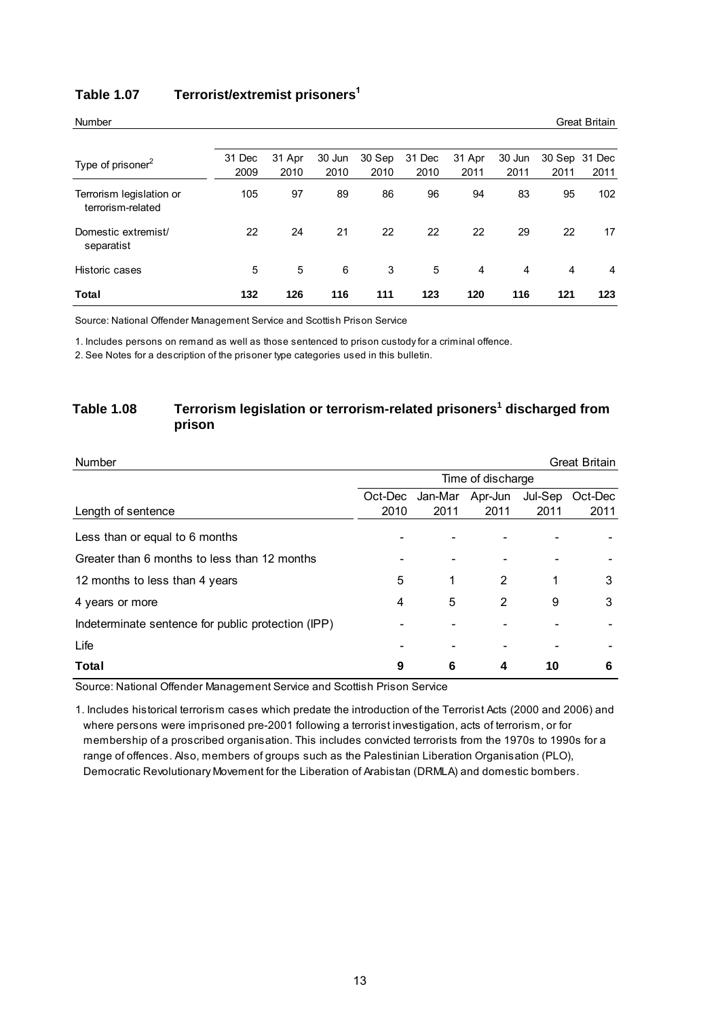| <b>Number</b>                                 |                |                |                |                |                |                |                |                | <b>Great Britain</b> |
|-----------------------------------------------|----------------|----------------|----------------|----------------|----------------|----------------|----------------|----------------|----------------------|
|                                               |                |                |                |                |                |                |                |                |                      |
| Type of prisoner <sup>2</sup>                 | 31 Dec<br>2009 | 31 Apr<br>2010 | 30 Jun<br>2010 | 30 Sep<br>2010 | 31 Dec<br>2010 | 31 Apr<br>2011 | 30 Jun<br>2011 | 30 Sep<br>2011 | 31 Dec<br>2011       |
| Terrorism legislation or<br>terrorism-related | 105            | 97             | 89             | 86             | 96             | 94             | 83             | 95             | 102                  |
| Domestic extremist/<br>separatist             | 22             | 24             | 21             | 22             | 22             | 22             | 29             | 22             | 17                   |
| Historic cases                                | 5              | 5              | 6              | 3              | 5              | 4              | 4              | 4              | 4                    |
| Total                                         | 132            | 126            | 116            | 111            | 123            | 120            | 116            | 121            | 123                  |

#### **Table 1.07 Terrorist/extremist prisoners<sup>1</sup>**

Source: National Offender Management Service and Scottish Prison Service

1. Includes persons on remand as well as those sentenced to prison custody for a criminal offence.

2. See Notes for a description of the prisoner type categories used in this bulletin.

#### **Table 1.08 Terrorism legislation or terrorism-related prisoners<sup>1</sup> discharged from prison**

| <b>Number</b>                                      |                   |         |         |         | <b>Great Britain</b> |  |  |  |  |  |  |
|----------------------------------------------------|-------------------|---------|---------|---------|----------------------|--|--|--|--|--|--|
|                                                    | Time of discharge |         |         |         |                      |  |  |  |  |  |  |
|                                                    | Oct-Dec           | Jan-Mar | Apr-Jun | Jul-Sep | Oct-Dec              |  |  |  |  |  |  |
| Length of sentence                                 | 2010              | 2011    | 2011    | 2011    | 2011                 |  |  |  |  |  |  |
| Less than or equal to 6 months                     |                   |         |         |         |                      |  |  |  |  |  |  |
| Greater than 6 months to less than 12 months       |                   |         |         |         |                      |  |  |  |  |  |  |
| 12 months to less than 4 years                     | 5                 | 1       | 2       | 1       | 3                    |  |  |  |  |  |  |
| 4 years or more                                    | 4                 | 5       | 2       | 9       | 3                    |  |  |  |  |  |  |
| Indeterminate sentence for public protection (IPP) |                   |         |         |         |                      |  |  |  |  |  |  |
| Life                                               |                   |         |         |         |                      |  |  |  |  |  |  |
| Total                                              | 9                 | 6       | 4       | 10      | 6                    |  |  |  |  |  |  |

Source: National Offender Management Service and Scottish Prison Service

1. Includes historical terrorism cases which predate the introduction of the Terrorist Acts (2000 and 2006) and Democratic Revolutionary Movement for the Liberation of Arabistan (DRMLA) and domestic bombers. where persons were imprisoned pre-2001 following a terrorist investigation, acts of terrorism, or for membership of a proscribed organisation. This includes convicted terrorists from the 1970s to 1990s for a range of offences. Also, members of groups such as the Palestinian Liberation Organisation (PLO),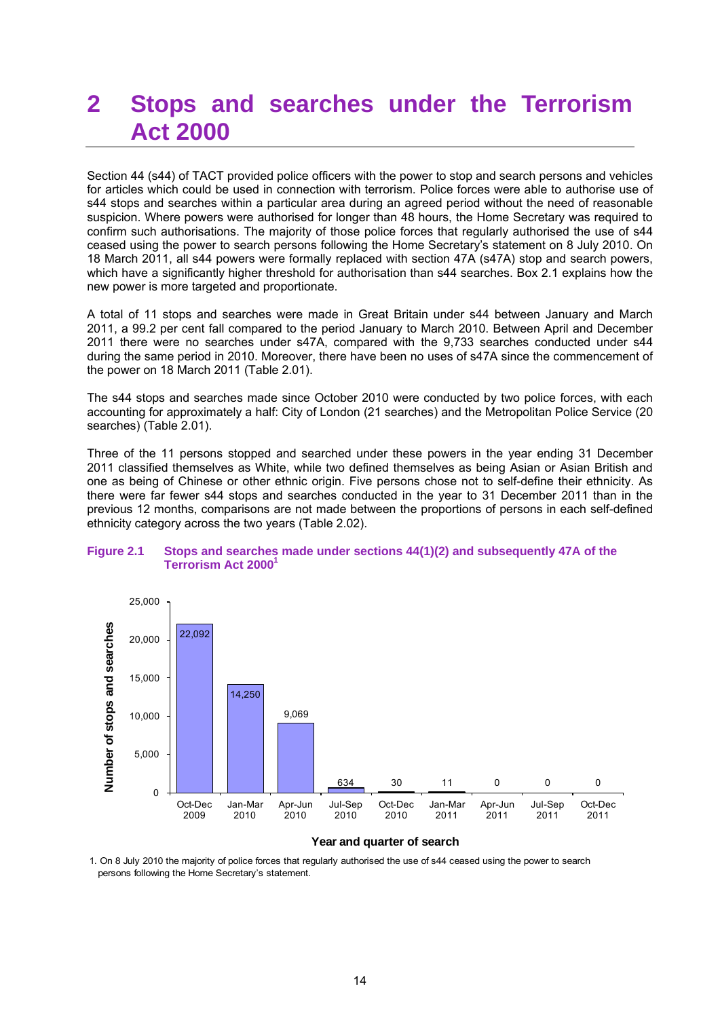## **2 Stops and searches under the Terrorism Act 2000**

Section 44 (s44) of TACT provided police officers with the power to stop and search persons and vehicles for articles which could be used in connection with terrorism. Police forces were able to authorise use of s44 stops and searches within a particular area during an agreed period without the need of reasonable suspicion. Where powers were authorised for longer than 48 hours, the Home Secretary was required to confirm such authorisations. The majority of those police forces that regularly authorised the use of s44 ceased using the power to search persons following the Home Secretary"s statement on 8 July 2010. On 18 March 2011, all s44 powers were formally replaced with section 47A (s47A) stop and search powers, which have a significantly higher threshold for authorisation than s44 searches. Box 2.1 explains how the new power is more targeted and proportionate.

A total of 11 stops and searches were made in Great Britain under s44 between January and March 2011, a 99.2 per cent fall compared to the period January to March 2010. Between April and December 2011 there were no searches under s47A, compared with the 9,733 searches conducted under s44 during the same period in 2010. Moreover, there have been no uses of s47A since the commencement of the power on 18 March 2011 (Table 2.01).

The s44 stops and searches made since October 2010 were conducted by two police forces, with each accounting for approximately a half: City of London (21 searches) and the Metropolitan Police Service (20 searches) (Table 2.01).

Three of the 11 persons stopped and searched under these powers in the year ending 31 December 2011 classified themselves as White, while two defined themselves as being Asian or Asian British and one as being of Chinese or other ethnic origin. Five persons chose not to self-define their ethnicity. As there were far fewer s44 stops and searches conducted in the year to 31 December 2011 than in the previous 12 months, comparisons are not made between the proportions of persons in each self-defined ethnicity category across the two years (Table 2.02).

#### **Figure 2.1 Stops and searches made under sections 44(1)(2) and subsequently 47A of the Terrorism Act 2000<sup>1</sup>**



#### **Year and quarter of search**

1. On 8 July 2010 the majority of police forces that regularly authorised the use of s44 ceased using the power to search persons following the Home Secretary"s statement.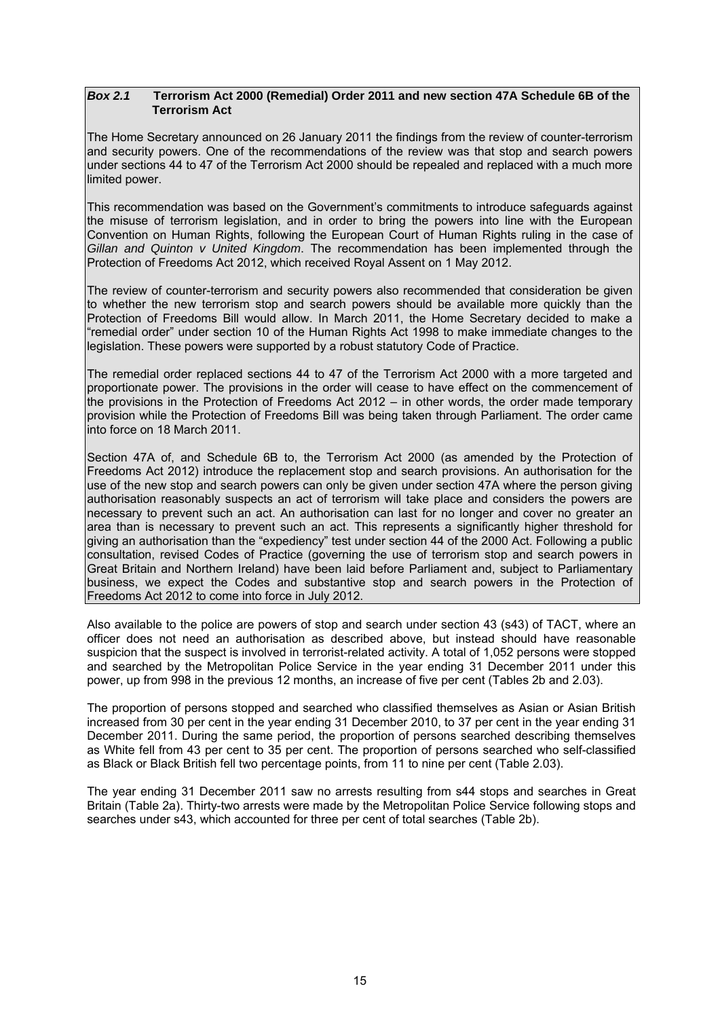#### *Box 2.1* **Terrorism Act 2000 (Remedial) Order 2011 and new section 47A Schedule 6B of the Terrorism Act**

The Home Secretary announced on 26 January 2011 the findings from the review of counter-terrorism and security powers. One of the recommendations of the review was that stop and search powers under sections 44 to 47 of the Terrorism Act 2000 should be repealed and replaced with a much more limited power.

This recommendation was based on the Government"s commitments to introduce safeguards against the misuse of terrorism legislation, and in order to bring the powers into line with the European Convention on Human Rights, following the European Court of Human Rights ruling in the case of *Gillan and Quinton v United Kingdom*. The recommendation has been implemented through the Protection of Freedoms Act 2012, which received Royal Assent on 1 May 2012.

The review of counter-terrorism and security powers also recommended that consideration be given to whether the new terrorism stop and search powers should be available more quickly than the Protection of Freedoms Bill would allow. In March 2011, the Home Secretary decided to make a "remedial order" under section 10 of the Human Rights Act 1998 to make immediate changes to the legislation. These powers were supported by a robust statutory Code of Practice.

The remedial order replaced sections 44 to 47 of the Terrorism Act 2000 with a more targeted and proportionate power. The provisions in the order will cease to have effect on the commencement of the provisions in the Protection of Freedoms Act 2012 – in other words, the order made temporary provision while the Protection of Freedoms Bill was being taken through Parliament. The order came into force on 18 March 2011.

Section 47A of, and Schedule 6B to, the Terrorism Act 2000 (as amended by the Protection of Freedoms Act 2012) introduce the replacement stop and search provisions. An authorisation for the use of the new stop and search powers can only be given under section 47A where the person giving authorisation reasonably suspects an act of terrorism will take place and considers the powers are necessary to prevent such an act. An authorisation can last for no longer and cover no greater an area than is necessary to prevent such an act. This represents a significantly higher threshold for giving an authorisation than the "expediency" test under section 44 of the 2000 Act. Following a public consultation, revised Codes of Practice (governing the use of terrorism stop and search powers in Great Britain and Northern Ireland) have been laid before Parliament and, subject to Parliamentary business, we expect the Codes and substantive stop and search powers in the Protection of Freedoms Act 2012 to come into force in July 2012.

Also available to the police are powers of stop and search under section 43 (s43) of TACT, where an officer does not need an authorisation as described above, but instead should have reasonable suspicion that the suspect is involved in terrorist-related activity. A total of 1,052 persons were stopped and searched by the Metropolitan Police Service in the year ending 31 December 2011 under this power, up from 998 in the previous 12 months, an increase of five per cent (Tables 2b and 2.03).

The proportion of persons stopped and searched who classified themselves as Asian or Asian British increased from 30 per cent in the year ending 31 December 2010, to 37 per cent in the year ending 31 December 2011. During the same period, the proportion of persons searched describing themselves as White fell from 43 per cent to 35 per cent. The proportion of persons searched who self-classified as Black or Black British fell two percentage points, from 11 to nine per cent (Table 2.03).

The year ending 31 December 2011 saw no arrests resulting from s44 stops and searches in Great Britain (Table 2a). Thirty-two arrests were made by the Metropolitan Police Service following stops and searches under s43, which accounted for three per cent of total searches (Table 2b).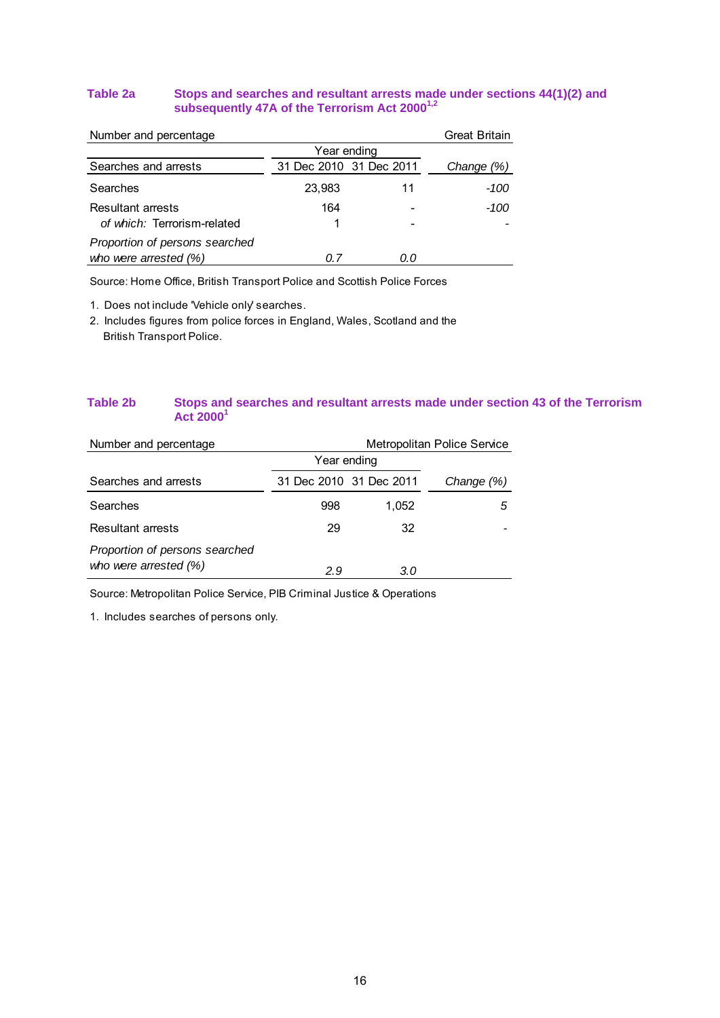#### **Table 2a Stops and searches and resultant arrests made under sections 44(1)(2) and subsequently 47A of the Terrorism Act 20001,2**

| Number and percentage          |                         |     | <b>Great Britain</b> |
|--------------------------------|-------------------------|-----|----------------------|
|                                | Year ending             |     |                      |
| Searches and arrests           | 31 Dec 2010 31 Dec 2011 |     | Change (%)           |
| Searches                       | 23,983                  | 11  | -100                 |
| <b>Resultant arrests</b>       | 164                     |     | -100                 |
| of which: Terrorism-related    |                         |     |                      |
| Proportion of persons searched |                         |     |                      |
| who were arrested (%)          | 0 Z                     | O.O |                      |

Source: Home Office, British Transport Police and Scottish Police Forces

1. Does not include 'Vehicle only' searches.

2. Includes figures from police forces in England, Wales, Scotland and the British Transport Police.

#### **Table 2b Stops and searches and resultant arrests made under section 43 of the Terrorism Act 2000<sup>1</sup>**

| Number and percentage                                     | Metropolitan Police Service |                         |            |  |  |  |
|-----------------------------------------------------------|-----------------------------|-------------------------|------------|--|--|--|
|                                                           | Year ending                 |                         |            |  |  |  |
| Searches and arrests                                      |                             | 31 Dec 2010 31 Dec 2011 | Change (%) |  |  |  |
| Searches                                                  | 998                         | 1.052                   | .h         |  |  |  |
| Resultant arrests                                         | 29                          | 32                      |            |  |  |  |
| Proportion of persons searched<br>who were arrested $(%)$ | 2.9                         | 3.0                     |            |  |  |  |

Source: Metropolitan Police Service, PIB Criminal Justice & Operations

1. Includes searches of persons only.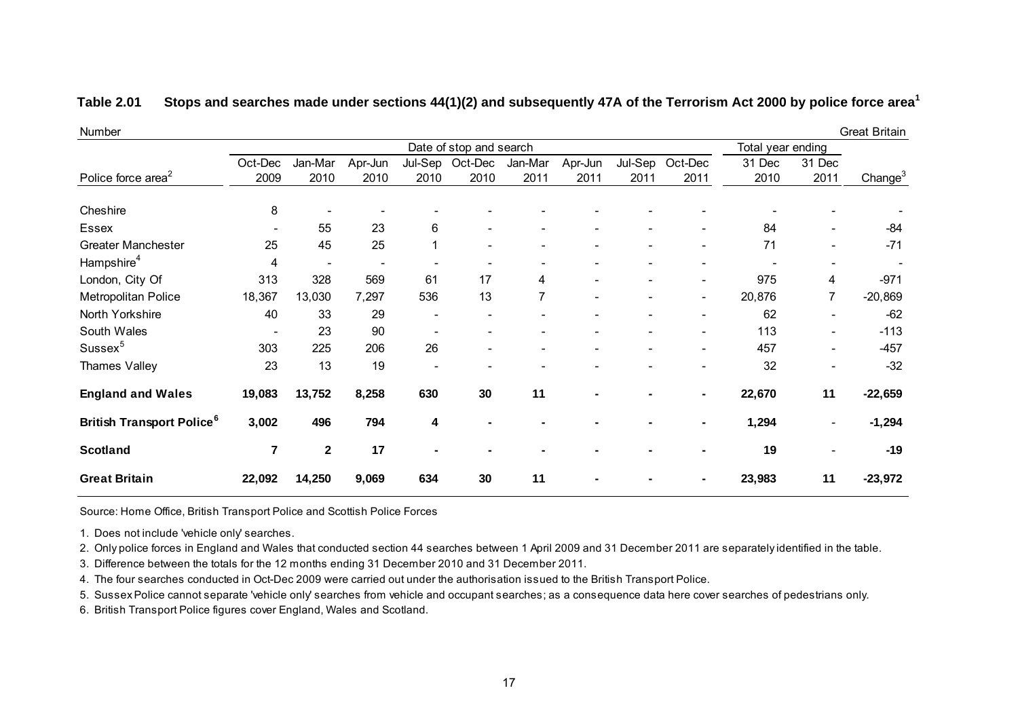| Number                                      |                |                          |                |         |                         |         |                              |         |                          |                   |                          | <b>Great Britain</b> |
|---------------------------------------------|----------------|--------------------------|----------------|---------|-------------------------|---------|------------------------------|---------|--------------------------|-------------------|--------------------------|----------------------|
|                                             |                |                          |                |         | Date of stop and search |         |                              |         |                          | Total year ending |                          |                      |
|                                             | Oct-Dec        | Jan-Mar                  | Apr-Jun        | Jul-Sep | Oct-Dec                 | Jan-Mar | Apr-Jun                      | Jul-Sep | Oct-Dec                  | 31 Dec            | 31 Dec                   |                      |
| Police force area <sup>2</sup>              | 2009           | 2010                     | 2010           | 2010    | 2010                    | 2011    | 2011                         | 2011    | 2011                     | 2010              | 2011                     | Change <sup>3</sup>  |
| Cheshire                                    | 8              |                          |                |         |                         |         |                              |         |                          |                   |                          |                      |
| Essex                                       |                | 55                       | 23             | 6       |                         |         |                              |         |                          | 84                |                          | $-84$                |
| <b>Greater Manchester</b>                   | 25             | 45                       | 25             |         |                         |         |                              |         |                          | 71                |                          | $-71$                |
| Hampshire <sup>4</sup>                      | 4              | $\overline{\phantom{0}}$ | $\blacksquare$ |         |                         |         |                              |         |                          |                   |                          |                      |
| London, City Of                             | 313            | 328                      | 569            | 61      | 17                      | 4       |                              |         |                          | 975               | 4                        | $-971$               |
| Metropolitan Police                         | 18,367         | 13,030                   | 7,297          | 536     | 13                      | 7       | $\qquad \qquad \blacksquare$ |         | $\overline{\phantom{a}}$ | 20,876            | 7                        | $-20,869$            |
| North Yorkshire                             | 40             | 33                       | 29             |         |                         |         |                              |         |                          | 62                | $\overline{\phantom{0}}$ | $-62$                |
| South Wales                                 |                | 23                       | 90             |         |                         |         |                              |         | $\overline{\phantom{a}}$ | 113               | $\overline{\phantom{a}}$ | $-113$               |
| Sussex <sup>5</sup>                         | 303            | 225                      | 206            | 26      |                         |         |                              |         |                          | 457               |                          | $-457$               |
| Thames Valley                               | 23             | 13                       | 19             |         |                         |         |                              |         |                          | 32                |                          | $-32$                |
| <b>England and Wales</b>                    | 19,083         | 13,752                   | 8,258          | 630     | 30                      | 11      |                              |         | ٠                        | 22,670            | 11                       | $-22,659$            |
| <b>British Transport Police<sup>6</sup></b> | 3,002          | 496                      | 794            | 4       |                         |         |                              |         |                          | 1,294             | $\overline{\phantom{a}}$ | $-1,294$             |
| <b>Scotland</b>                             | $\overline{7}$ | $\mathbf{2}$             | 17             |         |                         |         |                              |         |                          | 19                |                          | $-19$                |
| <b>Great Britain</b>                        | 22,092         | 14,250                   | 9,069          | 634     | 30                      | 11      |                              |         |                          | 23,983            | 11                       | $-23,972$            |

#### **Table 2.01 Stops and searches made under sections 44(1)(2) and subsequently 47A of the Terrorism Act 2000 by police force area<sup>1</sup>**

Source: Home Office, British Transport Police and Scottish Police Forces

1. Does not include 'vehicle only' searches.

2. Only police forces in England and Wales that conducted section 44 searches between 1 April 2009 and 31 December 2011 are separately identified in the table.

3. Difference between the totals for the 12 months ending 31 December 2010 and 31 December 2011.

4. The four searches conducted in Oct-Dec 2009 were carried out under the authorisation issued to the British Transport Police.

5. Sussex Police cannot separate 'vehicle only' searches from vehicle and occupant searches; as a consequence data here cover searches of pedestrians only.

6. British Transport Police figures cover England, Wales and Scotland.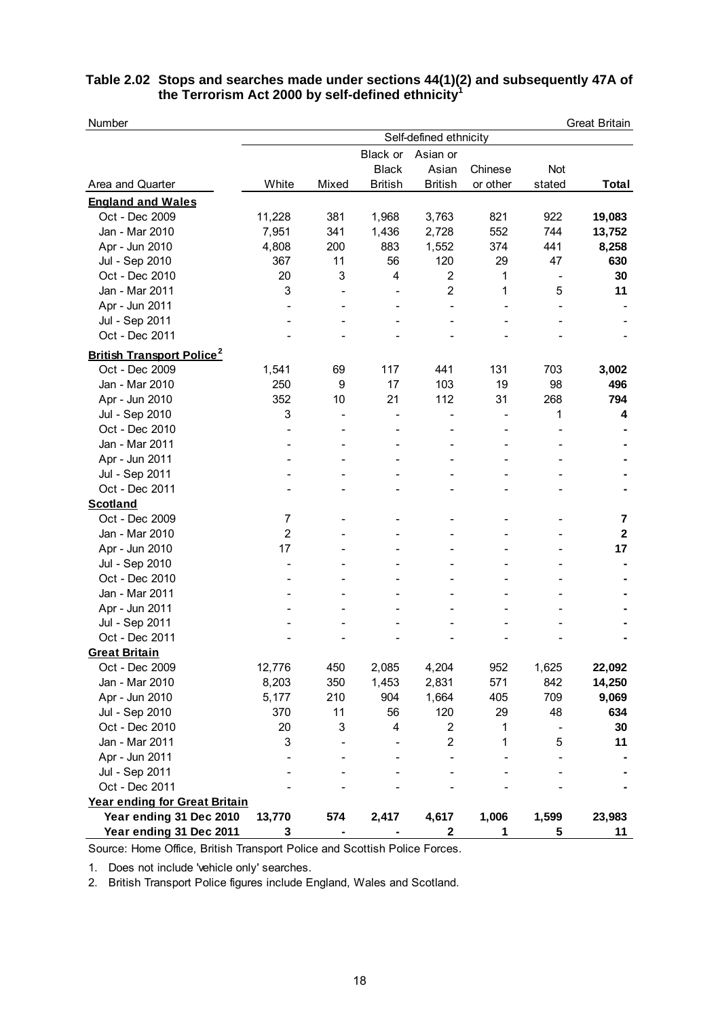| Table 2.02 Stops and searches made under sections 44(1)(2) and subsequently 47A of |  |  |
|------------------------------------------------------------------------------------|--|--|
| the Terrorism Act 2000 by self-defined ethnicity <sup>1</sup>                      |  |  |

| Number                                       |                        |                          |                |                         |          |                          | <b>Great Britain</b> |  |  |
|----------------------------------------------|------------------------|--------------------------|----------------|-------------------------|----------|--------------------------|----------------------|--|--|
|                                              | Self-defined ethnicity |                          |                |                         |          |                          |                      |  |  |
|                                              |                        |                          | Black or       | Asian or                |          |                          |                      |  |  |
|                                              |                        |                          | <b>Black</b>   | Asian                   | Chinese  | Not                      |                      |  |  |
| Area and Quarter                             | White                  | Mixed                    | <b>British</b> | <b>British</b>          | or other | stated                   | Total                |  |  |
| <b>England and Wales</b>                     |                        |                          |                |                         |          |                          |                      |  |  |
| Oct - Dec 2009                               | 11,228                 | 381                      | 1,968          | 3,763                   | 821      | 922                      | 19,083               |  |  |
| Jan - Mar 2010                               | 7,951                  | 341                      | 1,436          | 2,728                   | 552      | 744                      | 13,752               |  |  |
| Apr - Jun 2010                               | 4,808                  | 200                      | 883            | 1,552                   | 374      | 441                      | 8,258                |  |  |
| Jul - Sep 2010                               | 367                    | 11                       | 56             | 120                     | 29       | 47                       | 630                  |  |  |
| Oct - Dec 2010                               | 20                     | 3                        | 4              | $\overline{2}$          | 1        | $\overline{\phantom{a}}$ | 30                   |  |  |
| Jan - Mar 2011                               | 3                      | $\overline{\phantom{a}}$ |                | $\overline{2}$          | 1        | 5                        | 11                   |  |  |
| Apr - Jun 2011                               |                        |                          |                |                         |          |                          |                      |  |  |
| Jul - Sep 2011                               |                        |                          |                |                         |          |                          |                      |  |  |
| Oct - Dec 2011                               |                        |                          |                |                         |          |                          |                      |  |  |
| <b>British Transport Police</b> <sup>2</sup> |                        |                          |                |                         |          |                          |                      |  |  |
| Oct - Dec 2009                               | 1,541                  | 69                       | 117            | 441                     | 131      | 703                      | 3,002                |  |  |
| Jan - Mar 2010                               | 250                    | 9                        | 17             | 103                     | 19       | 98                       | 496                  |  |  |
| Apr - Jun 2010                               | 352                    | 10                       | 21             | 112                     | 31       | 268                      | 794                  |  |  |
| Jul - Sep 2010                               | 3                      | $\overline{a}$           |                |                         | L,       | 1                        | 4                    |  |  |
| Oct - Dec 2010                               |                        |                          |                |                         |          |                          |                      |  |  |
| Jan - Mar 2011                               |                        |                          |                |                         |          |                          |                      |  |  |
| Apr - Jun 2011                               |                        |                          |                |                         |          |                          |                      |  |  |
| Jul - Sep 2011                               |                        |                          |                |                         |          |                          |                      |  |  |
| Oct - Dec 2011                               |                        |                          |                |                         |          |                          |                      |  |  |
| <b>Scotland</b>                              |                        |                          |                |                         |          |                          |                      |  |  |
| Oct - Dec 2009                               | $\overline{7}$         |                          |                |                         |          |                          | 7                    |  |  |
| Jan - Mar 2010                               | $\overline{2}$         |                          |                |                         |          |                          | $\overline{2}$       |  |  |
| Apr - Jun 2010                               | 17                     |                          |                |                         |          |                          | 17                   |  |  |
| Jul - Sep 2010                               |                        |                          |                |                         |          |                          |                      |  |  |
| Oct - Dec 2010                               |                        |                          |                |                         |          |                          |                      |  |  |
| Jan - Mar 2011                               |                        |                          |                |                         |          |                          |                      |  |  |
| Apr - Jun 2011                               |                        |                          |                |                         |          |                          |                      |  |  |
| Jul - Sep 2011                               |                        |                          |                |                         |          |                          |                      |  |  |
| Oct - Dec 2011                               |                        |                          |                |                         |          |                          |                      |  |  |
| Great Britain                                |                        |                          |                |                         |          |                          |                      |  |  |
| Oct - Dec 2009                               | 12,776                 | 450                      | 2,085          | 4,204                   | 952      | 1,625                    | 22,092               |  |  |
| Jan - Mar 2010                               | 8,203                  | 350                      | 1,453          | 2,831                   | 571      | 842                      | 14,250               |  |  |
| Apr - Jun 2010                               | 5,177                  | 210                      | 904            | 1,664                   | 405      | 709                      | 9,069                |  |  |
| Jul - Sep 2010                               | 370                    | 11                       | 56             | 120                     | 29       | 48                       | 634                  |  |  |
| Oct - Dec 2010                               | 20                     | 3                        | 4              | $\overline{\mathbf{c}}$ | 1        |                          | 30                   |  |  |
| Jan - Mar 2011                               | 3                      |                          |                | $\overline{\mathbf{c}}$ | 1        | 5                        | 11                   |  |  |
| Apr - Jun 2011                               |                        |                          |                |                         |          |                          |                      |  |  |
| Jul - Sep 2011                               |                        |                          |                |                         |          |                          |                      |  |  |
| Oct - Dec 2011                               |                        |                          |                |                         |          |                          |                      |  |  |
| Year ending for Great Britain                |                        |                          |                |                         |          |                          |                      |  |  |
| Year ending 31 Dec 2010                      | 13,770                 | 574                      | 2,417          | 4,617                   | 1,006    | 1,599                    | 23,983               |  |  |
| Year ending 31 Dec 2011                      | 3                      |                          |                | $\mathbf 2$             | 1        | 5                        | 11                   |  |  |

Source: Home Office, British Transport Police and Scottish Police Forces.

1. Does not include 'vehicle only' searches.

2. British Transport Police figures include England, Wales and Scotland.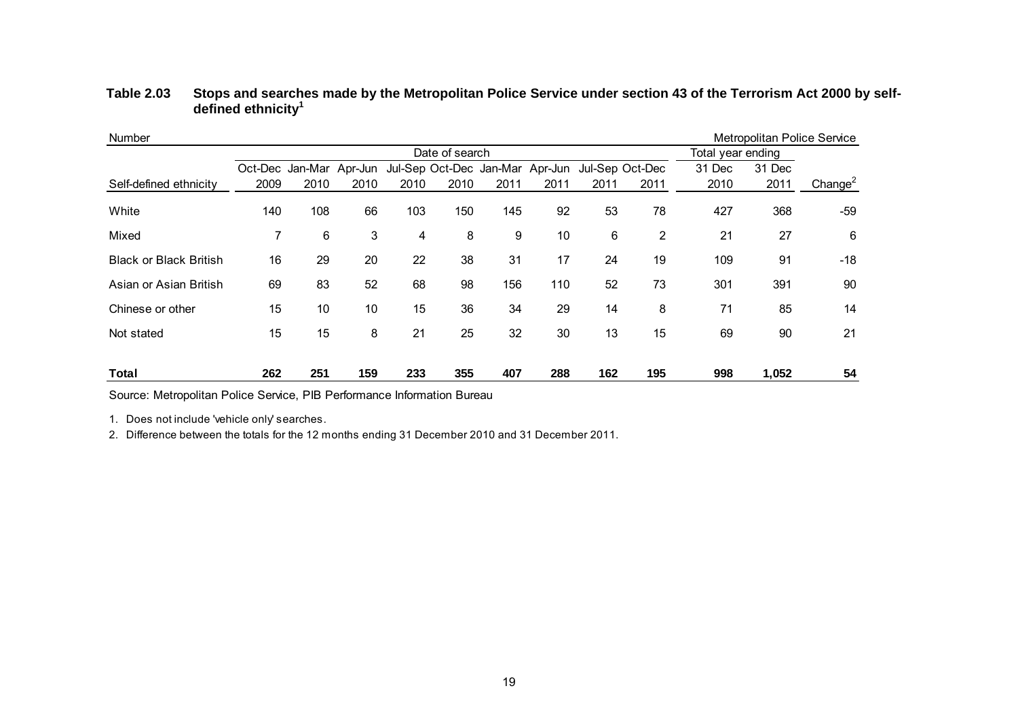| Number                        |      |                         |      |      |                                 |      |      |      |                 |                   |        | Metropolitan Police Service |
|-------------------------------|------|-------------------------|------|------|---------------------------------|------|------|------|-----------------|-------------------|--------|-----------------------------|
|                               |      | Date of search          |      |      |                                 |      |      |      |                 | Total year ending |        |                             |
|                               |      | Oct-Dec Jan-Mar Apr-Jun |      |      | Jul-Sep Oct-Dec Jan-Mar Apr-Jun |      |      |      | Jul-Sep Oct-Dec | 31 Dec            | 31 Dec |                             |
| Self-defined ethnicity        | 2009 | 2010                    | 2010 | 2010 | 2010                            | 2011 | 2011 | 2011 | 2011            | 2010              | 2011   | Change $^2$                 |
| White                         | 140  | 108                     | 66   | 103  | 150                             | 145  | 92   | 53   | 78              | 427               | 368    | -59                         |
| Mixed                         |      | 6                       | 3    | 4    | 8                               | 9    | 10   | 6    | 2               | 21                | 27     | 6                           |
| <b>Black or Black British</b> | 16   | 29                      | 20   | 22   | 38                              | 31   | 17   | 24   | 19              | 109               | 91     | $-18$                       |
| Asian or Asian British        | 69   | 83                      | 52   | 68   | 98                              | 156  | 110  | 52   | 73              | 301               | 391    | 90                          |
| Chinese or other              | 15   | 10                      | 10   | 15   | 36                              | 34   | 29   | 14   | 8               | 71                | 85     | 14                          |
| Not stated                    | 15   | 15                      | 8    | 21   | 25                              | 32   | 30   | 13   | 15              | 69                | 90     | 21                          |
| Total                         | 262  | 251                     | 159  | 233  | 355                             | 407  | 288  | 162  | 195             | 998               | 1,052  | 54                          |

#### **Table 2.03 Stops and searches made by the Metropolitan Police Service under section 43 of the Terrorism Act 2000 by selfdefined ethnicity<sup>1</sup>**

Source: Metropolitan Police Service, PIB Performance Information Bureau

1. Does not include 'vehicle only' searches.

2. Difference between the totals for the 12 months ending 31 December 2010 and 31 December 2011.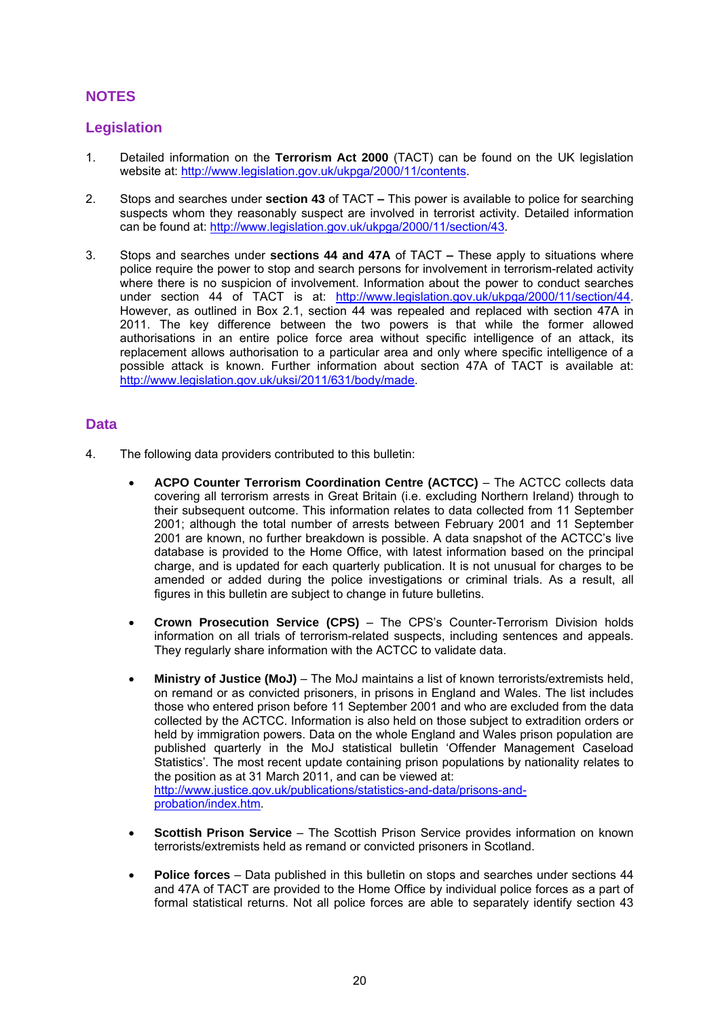#### **NOTES**

#### **Legislation**

- 1. Detailed information on the **Terrorism Act 2000** (TACT) can be found on the UK legislation website at: [http://www.legislation.gov.uk/ukpga/2000/11/contents.](http://www.legislation.gov.uk/ukpga/2000/11/contents)
- 2. Stops and searches under **section 43** of TACT **–** This power is available to police for searching suspects whom they reasonably suspect are involved in terrorist activity. Detailed information can be found at: [http://www.legislation.gov.uk/ukpga/2000/11/section/43.](http://www.legislation.gov.uk/ukpga/2000/11/section/43)
- 3. Stops and searches under **sections 44 and 47A** of TACT **–** These apply to situations where police require the power to stop and search persons for involvement in terrorism-related activity where there is no suspicion of involvement. Information about the power to conduct searches under section 44 of TACT is at: [http://www.legislation.gov.uk/ukpga/2000/11/section/44.](http://www.legislation.gov.uk/ukpga/2000/11/section/44) However, as outlined in Box 2.1, section 44 was repealed and replaced with section 47A in 2011. The key difference between the two powers is that while the former allowed authorisations in an entire police force area without specific intelligence of an attack, its replacement allows authorisation to a particular area and only where specific intelligence of a possible attack is known. Further information about section 47A of TACT is available at: [http://www.legislation.gov.uk/uksi/2011/631/body/made.](http://www.legislation.gov.uk/uksi/2011/631/body/made)

#### **Data**

- 4. The following data providers contributed to this bulletin:
	- **ACPO Counter Terrorism Coordination Centre (ACTCC)**  The ACTCC collects data covering all terrorism arrests in Great Britain (i.e. excluding Northern Ireland) through to their subsequent outcome. This information relates to data collected from 11 September 2001; although the total number of arrests between February 2001 and 11 September 2001 are known, no further breakdown is possible. A data snapshot of the ACTCC"s live database is provided to the Home Office, with latest information based on the principal charge, and is updated for each quarterly publication. It is not unusual for charges to be amended or added during the police investigations or criminal trials. As a result, all figures in this bulletin are subject to change in future bulletins.
	- **Crown Prosecution Service (CPS)**  The CPS"s Counter-Terrorism Division holds information on all trials of terrorism-related suspects, including sentences and appeals. They regularly share information with the ACTCC to validate data.
	- **Ministry of Justice (MoJ)** The MoJ maintains a list of known terrorists/extremists held, on remand or as convicted prisoners, in prisons in England and Wales. The list includes those who entered prison before 11 September 2001 and who are excluded from the data collected by the ACTCC. Information is also held on those subject to extradition orders or held by immigration powers. Data on the whole England and Wales prison population are published quarterly in the MoJ statistical bulletin "Offender Management Caseload Statistics". The most recent update containing prison populations by nationality relates to the position as at 31 March 2011, and can be viewed at: [http://www.justice.gov.uk/publications/statistics-and-data/prisons-and](http://www.justice.gov.uk/publications/statistics-and-data/prisons-and-probation/index.htm)[probation/index.htm.](http://www.justice.gov.uk/publications/statistics-and-data/prisons-and-probation/index.htm)
	- **Scottish Prison Service** The Scottish Prison Service provides information on known terrorists/extremists held as remand or convicted prisoners in Scotland.
	- **Police forces**  Data published in this bulletin on stops and searches under sections 44 and 47A of TACT are provided to the Home Office by individual police forces as a part of formal statistical returns. Not all police forces are able to separately identify section 43